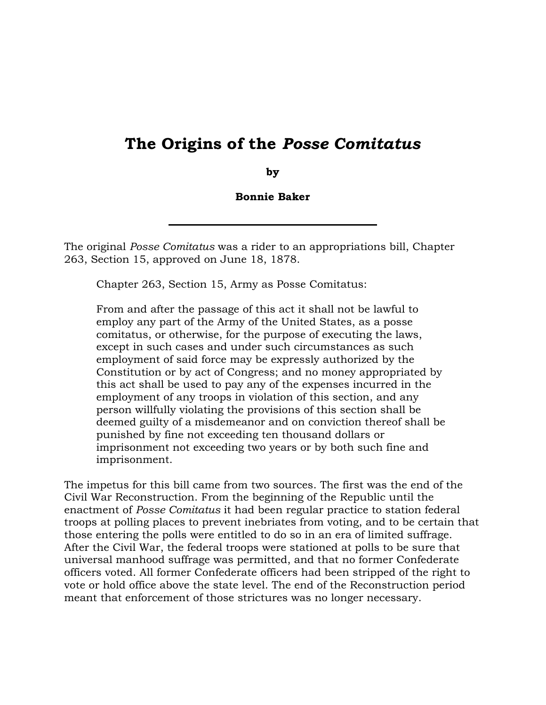## The Origins of the Posse Comitatus

by

Bonnie Baker

 The original Posse Comitatus was a rider to an appropriations bill, Chapter 263, Section 15, approved on June 18, 1878.

Chapter 263, Section 15, Army as Posse Comitatus:

 From and after the passage of this act it shall not be lawful to employ any part of the Army of the United States, as a posse comitatus, or otherwise, for the purpose of executing the laws, employment of said force may be expressly authorized by the Constitution or by act of Congress; and no money appropriated by this act shall be used to pay any of the expenses incurred in the employment of any troops in violation of this section, and any deemed guilty of a misdemeanor and on conviction thereof shall be imprisonment not exceeding two years or by both such fine and except in such cases and under such circumstances as such person willfully violating the provisions of this section shall be punished by fine not exceeding ten thousand dollars or imprisonment.

 The impetus for this bill came from two sources. The first was the end of the Civil War Reconstruction. From the beginning of the Republic until the enactment of Posse Comitatus it had been regular practice to station federal troops at polling places to prevent inebriates from voting, and to be certain that After the Civil War, the federal troops were stationed at polls to be sure that universal manhood suffrage was permitted, and that no former Confederate officers voted. All former Confederate officers had been stripped of the right to meant that enforcement of those strictures was no longer necessary. those entering the polls were entitled to do so in an era of limited suffrage. vote or hold office above the state level. The end of the Reconstruction period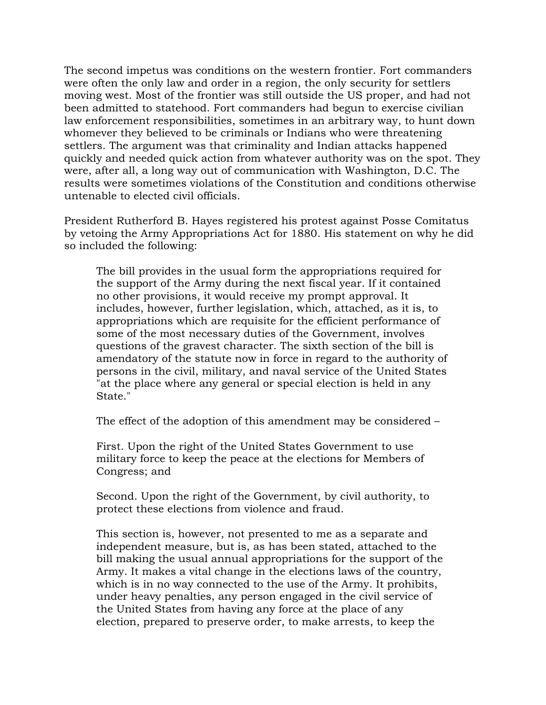The second impetus was conditions on the western frontier. Fort commanders were often the only law and order in a region, the only security for settlers moving west. Most of the frontier was still outside the US proper, and had not been admitted to statehood. Fort commanders had begun to exercise civilian law enforcement responsibilities, sometimes in an arbitrary way, to hunt down whomever they believed to be criminals or Indians who were threatening settlers. The argument was that criminality and Indian attacks happened quickly and needed quick action from whatever authority was on the spot. They were, after all, a long way out of communication with Washington, D.C. The results were sometimes violations of the Constitution and conditions otherwise untenable to elected civil officials.

 President Rutherford B. Hayes registered his protest against Posse Comitatus by vetoing the Army Appropriations Act for 1880. His statement on why he did so included the following:

 The bill provides in the usual form the appropriations required for the support of the Army during the next fiscal year. If it contained no other provisions, it would receive my prompt approval. It includes, however, further legislation, which, attached, as it is, to appropriations which are requisite for the efficient performance of some of the most necessary duties of the Government, involves questions of the gravest character. The sixth section of the bill is amendatory of the statute now in force in regard to the authority of persons in the civil, military, and naval service of the United States "at the place where any general or special election is held in any State."

The effect of the adoption of this amendment may be considered –

 First. Upon the right of the United States Government to use military force to keep the peace at the elections for Members of Congress; and

 Second. Upon the right of the Government, by civil authority, to protect these elections from violence and fraud.

 This section is, however, not presented to me as a separate and independent measure, but is, as has been stated, attached to the bill making the usual annual appropriations for the support of the Army. It makes a vital change in the elections laws of the country, which is in no way connected to the use of the Army. It prohibits, under heavy penalties, any person engaged in the civil service of the United States from having any force at the place of any election, prepared to preserve order, to make arrests, to keep the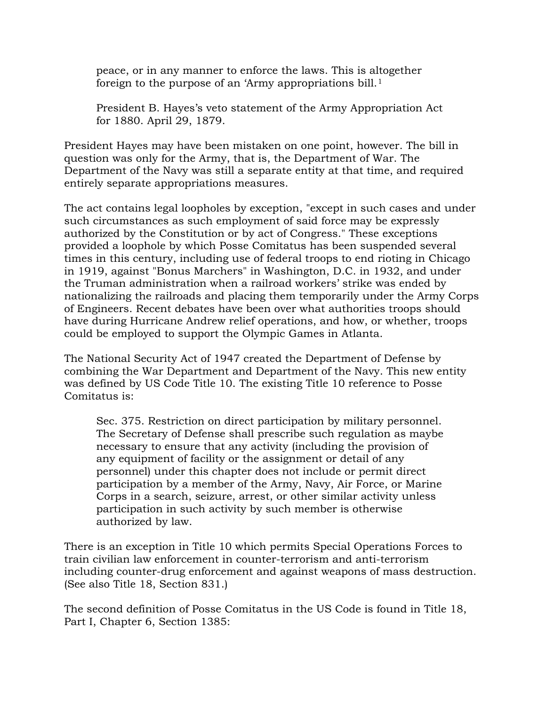peace, or in any manner to enforce the laws. This is altogether foreign to the purpose of an 'Army appropriations bill.<sup>1</sup>

 President B. Hayes's veto statement of the Army Appropriation Act for 1880. April 29, 1879.

 President Hayes may have been mistaken on one point, however. The bill in question was only for the Army, that is, the Department of War. The Department of the Navy was still a separate entity at that time, and required entirely separate appropriations measures.

 The act contains legal loopholes by exception, "except in such cases and under such circumstances as such employment of said force may be expressly authorized by the Constitution or by act of Congress." These exceptions provided a loophole by which Posse Comitatus has been suspended several times in this century, including use of federal troops to end rioting in Chicago in 1919, against "Bonus Marchers" in Washington, D.C. in 1932, and under the Truman administration when a railroad workers' strike was ended by nationalizing the railroads and placing them temporarily under the Army Corps of Engineers. Recent debates have been over what authorities troops should have during Hurricane Andrew relief operations, and how, or whether, troops could be employed to support the Olympic Games in Atlanta.

 The National Security Act of 1947 created the Department of Defense by combining the War Department and Department of the Navy. This new entity was defined by US Code Title 10. The existing Title 10 reference to Posse Comitatus is:

 Sec. 375. Restriction on direct participation by military personnel. The Secretary of Defense shall prescribe such regulation as maybe necessary to ensure that any activity (including the provision of any equipment of facility or the assignment or detail of any personnel) under this chapter does not include or permit direct participation by a member of the Army, Navy, Air Force, or Marine Corps in a search, seizure, arrest, or other similar activity unless participation in such activity by such member is otherwise authorized by law.

 There is an exception in Title 10 which permits Special Operations Forces to train civilian law enforcement in counter-terrorism and anti-terrorism including counter-drug enforcement and against weapons of mass destruction. (See also Title 18, Section 831.)

 The second definition of Posse Comitatus in the US Code is found in Title 18, Part I, Chapter 6, Section 1385: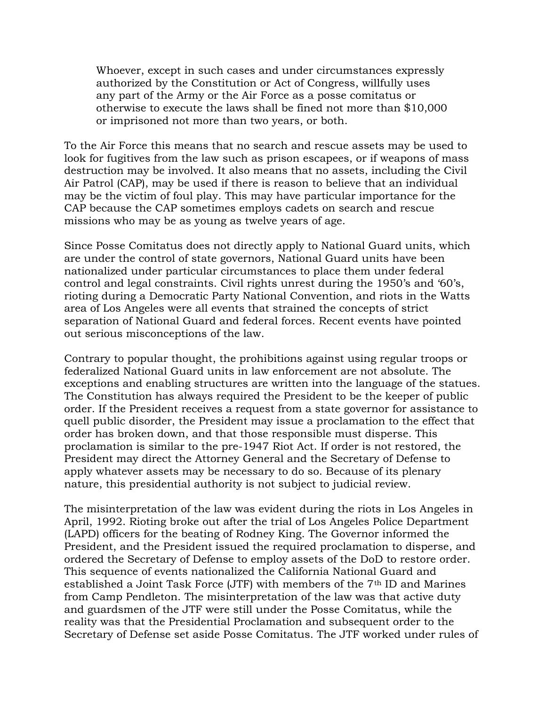Whoever, except in such cases and under circumstances expressly authorized by the Constitution or Act of Congress, willfully uses any part of the Army or the Air Force as a posse comitatus or otherwise to execute the laws shall be fined not more than \$10,000 or imprisoned not more than two years, or both.

 To the Air Force this means that no search and rescue assets may be used to look for fugitives from the law such as prison escapees, or if weapons of mass destruction may be involved. It also means that no assets, including the Civil Air Patrol (CAP), may be used if there is reason to believe that an individual may be the victim of foul play. This may have particular importance for the CAP because the CAP sometimes employs cadets on search and rescue missions who may be as young as twelve years of age.

 Since Posse Comitatus does not directly apply to National Guard units, which are under the control of state governors, National Guard units have been nationalized under particular circumstances to place them under federal control and legal constraints. Civil rights unrest during the 1950's and '60's, rioting during a Democratic Party National Convention, and riots in the Watts area of Los Angeles were all events that strained the concepts of strict separation of National Guard and federal forces. Recent events have pointed out serious misconceptions of the law.

 Contrary to popular thought, the prohibitions against using regular troops or federalized National Guard units in law enforcement are not absolute. The exceptions and enabling structures are written into the language of the statues. The Constitution has always required the President to be the keeper of public order. If the President receives a request from a state governor for assistance to quell public disorder, the President may issue a proclamation to the effect that order has broken down, and that those responsible must disperse. This proclamation is similar to the pre-1947 Riot Act. If order is not restored, the President may direct the Attorney General and the Secretary of Defense to apply whatever assets may be necessary to do so. Because of its plenary nature, this presidential authority is not subject to judicial review.

 The misinterpretation of the law was evident during the riots in Los Angeles in April, 1992. Rioting broke out after the trial of Los Angeles Police Department (LAPD) officers for the beating of Rodney King. The Governor informed the President, and the President issued the required proclamation to disperse, and ordered the Secretary of Defense to employ assets of the DoD to restore order. This sequence of events nationalized the California National Guard and established a Joint Task Force (JTF) with members of the  $7<sup>th</sup>$  ID and Marines from Camp Pendleton. The misinterpretation of the law was that active duty and guardsmen of the JTF were still under the Posse Comitatus, while the reality was that the Presidential Proclamation and subsequent order to the Secretary of Defense set aside Posse Comitatus. The JTF worked under rules of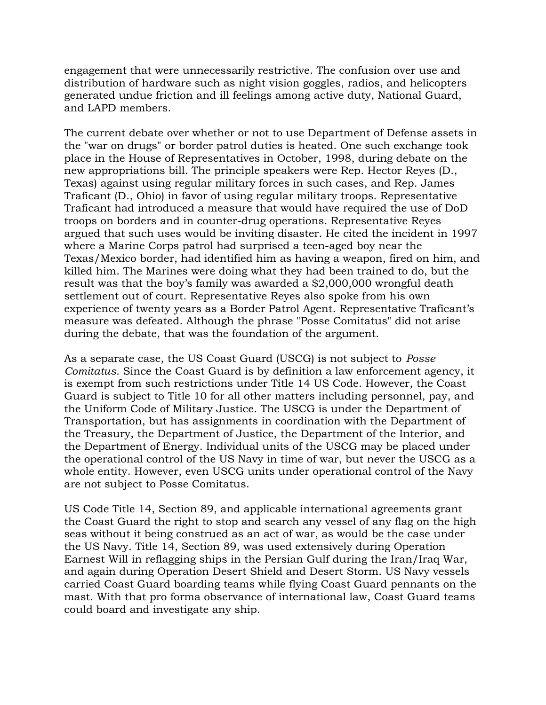engagement that were unnecessarily restrictive. The confusion over use and distribution of hardware such as night vision goggles, radios, and helicopters generated undue friction and ill feelings among active duty, National Guard, and LAPD members.

 The current debate over whether or not to use Department of Defense assets in the "war on drugs" or border patrol duties is heated. One such exchange took place in the House of Representatives in October, 1998, during debate on the new appropriations bill. The principle speakers were Rep. Hector Reyes (D., Texas) against using regular military forces in such cases, and Rep. James Traficant (D., Ohio) in favor of using regular military troops. Representative Traficant had introduced a measure that would have required the use of DoD troops on borders and in counter-drug operations. Representative Reyes argued that such uses would be inviting disaster. He cited the incident in 1997 where a Marine Corps patrol had surprised a teen-aged boy near the Texas/Mexico border, had identified him as having a weapon, fired on him, and killed him. The Marines were doing what they had been trained to do, but the result was that the boy's family was awarded a \$2,000,000 wrongful death settlement out of court. Representative Reyes also spoke from his own experience of twenty years as a Border Patrol Agent. Representative Traficant's measure was defeated. Although the phrase "Posse Comitatus" did not arise during the debate, that was the foundation of the argument.

 As a separate case, the US Coast Guard (USCG) is not subject to Posse Comitatus. Since the Coast Guard is by definition a law enforcement agency, it is exempt from such restrictions under Title 14 US Code. However, the Coast Guard is subject to Title 10 for all other matters including personnel, pay, and the Uniform Code of Military Justice. The USCG is under the Department of Transportation, but has assignments in coordination with the Department of the Treasury, the Department of Justice, the Department of the Interior, and the Department of Energy. Individual units of the USCG may be placed under the operational control of the US Navy in time of war, but never the USCG as a whole entity. However, even USCG units under operational control of the Navy are not subject to Posse Comitatus.

 US Code Title 14, Section 89, and applicable international agreements grant the Coast Guard the right to stop and search any vessel of any flag on the high seas without it being construed as an act of war, as would be the case under the US Navy. Title 14, Section 89, was used extensively during Operation Earnest Will in reflagging ships in the Persian Gulf during the Iran/Iraq War, and again during Operation Desert Shield and Desert Storm. US Navy vessels carried Coast Guard boarding teams while flying Coast Guard pennants on the mast. With that pro forma observance of international law, Coast Guard teams could board and investigate any ship.